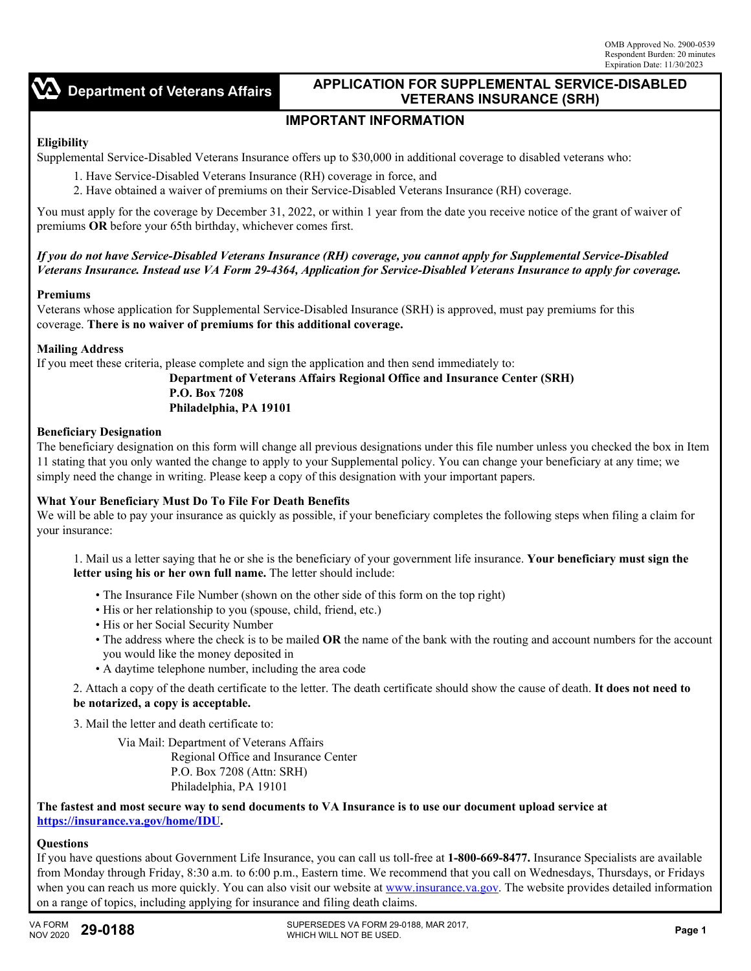$\sum$  Department of Veterans Affairs

## **APPLICATION FOR SUPPLEMENTAL SERVICE-DISABLED VETERANS INSURANCE (SRH)**

# **IMPORTANT INFORMATION**

## **Eligibility**

Supplemental Service-Disabled Veterans Insurance offers up to \$30,000 in additional coverage to disabled veterans who:

- 1. Have Service-Disabled Veterans Insurance (RH) coverage in force, and
- 2. Have obtained a waiver of premiums on their Service-Disabled Veterans Insurance (RH) coverage.

You must apply for the coverage by December 31, 2022, or within 1 year from the date you receive notice of the grant of waiver of premiums **OR** before your 65th birthday, whichever comes first.

*If you do not have Service-Disabled Veterans Insurance (RH) coverage, you cannot apply for Supplemental Service-Disabled Veterans Insurance. Instead use VA Form 29-4364, Application for Service-Disabled Veterans Insurance to apply for coverage.*

#### **Premiums**

Veterans whose application for Supplemental Service-Disabled Insurance (SRH) is approved, must pay premiums for this coverage. **There is no waiver of premiums for this additional coverage.** 

#### **Mailing Address**

If you meet these criteria, please complete and sign the application and then send immediately to:

#### **Department of Veterans Affairs Regional Office and Insurance Center (SRH) P.O. Box 7208 Philadelphia, PA 19101**

## **Beneficiary Designation**

The beneficiary designation on this form will change all previous designations under this file number unless you checked the box in Item 11 stating that you only wanted the change to apply to your Supplemental policy. You can change your beneficiary at any time; we simply need the change in writing. Please keep a copy of this designation with your important papers.

#### **What Your Beneficiary Must Do To File For Death Benefits**

We will be able to pay your insurance as quickly as possible, if your beneficiary completes the following steps when filing a claim for your insurance:

1. Mail us a letter saying that he or she is the beneficiary of your government life insurance. **Your beneficiary must sign the letter using his or her own full name.** The letter should include:

- The Insurance File Number (shown on the other side of this form on the top right)
- His or her relationship to you (spouse, child, friend, etc.)
- His or her Social Security Number
- The address where the check is to be mailed **OR** the name of the bank with the routing and account numbers for the account you would like the money deposited in
- A daytime telephone number, including the area code

2. Attach a copy of the death certificate to the letter. The death certificate should show the cause of death. **It does not need to be notarized, a copy is acceptable.**

3. Mail the letter and death certificate to:

Via Mail: Department of Veterans Affairs Regional Office and Insurance Center P.O. Box 7208 (Attn: SRH) Philadelphia, PA 19101

**The fastest and most secure way to send documents to VA Insurance is to use our document upload service at [https://insurance.va.gov/home/IDU.](https://insurance.va.gov/home/IDU)**

## **Questions**

If you have questions about Government Life Insurance, you can call us toll-free at **1-800-669-8477.** Insurance Specialists are available from Monday through Friday, 8:30 a.m. to 6:00 p.m., Eastern time. We recommend that you call on Wednesdays, Thursdays, or Fridays when you can reach us more quickly. You can also visit our website at [www.insurance.va.gov.](www.insurance.va.gov) The website provides detailed information on a range of topics, including applying for insurance and filing death claims.